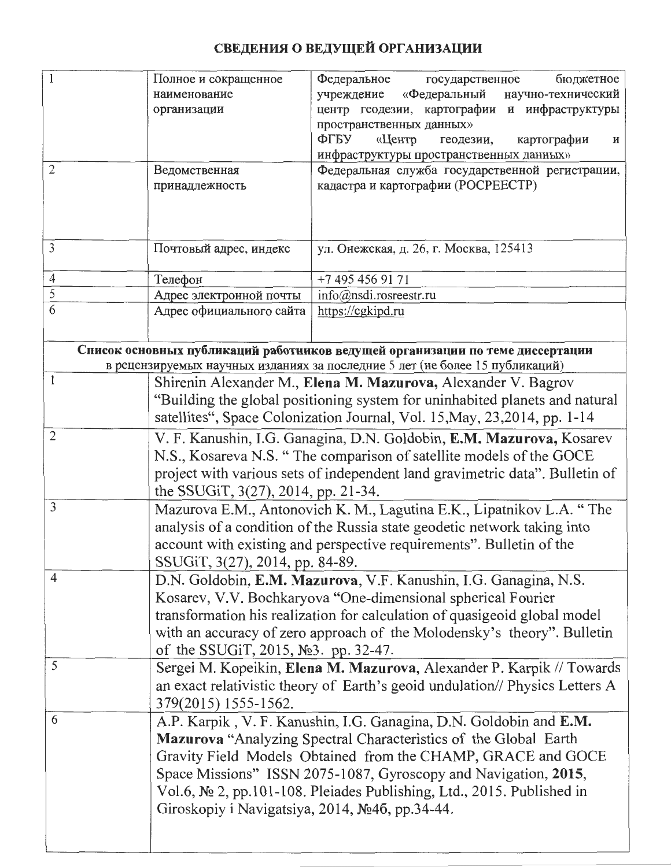## СВЕДЕНИЯ О ВЕДУЩЕЙ ОРГАНИЗАЦИИ

|                                                                               | Полное и сокращенное                            | бюджетное<br>Федеральное<br>государственное                                              |
|-------------------------------------------------------------------------------|-------------------------------------------------|------------------------------------------------------------------------------------------|
|                                                                               | наименование                                    | «Федеральный научно-технический<br>учреждение                                            |
|                                                                               | организации                                     | центр геодезии, картографии и инфраструктуры                                             |
|                                                                               |                                                 | пространственных данных»                                                                 |
|                                                                               |                                                 | ФГБУ<br>«Центр<br>картографии<br>геодезии,<br>и                                          |
|                                                                               |                                                 | инфраструктуры пространственных данных»                                                  |
| $\overline{2}$                                                                | Ведомственная                                   | Федеральная служба государственной регистрации,                                          |
|                                                                               | принадлежность                                  | кадастра и картографии (РОСРЕЕСТР)                                                       |
|                                                                               |                                                 |                                                                                          |
|                                                                               |                                                 |                                                                                          |
| $\mathfrak{Z}$                                                                | Почтовый адрес, индекс                          | ул. Онежская, д. 26, г. Москва, 125413                                                   |
|                                                                               |                                                 |                                                                                          |
| $\overline{4}$                                                                | Телефон                                         | +7 495 456 91 71                                                                         |
| $\mathfrak{S}$                                                                | Адрес электронной почты                         | info@nsdi.rosreestr.ru                                                                   |
| $\overline{6}$                                                                | Адрес официального сайта                        | https://cgkipd.ru                                                                        |
|                                                                               |                                                 |                                                                                          |
| Список основных публикаций работников ведущей организации по теме диссертации |                                                 |                                                                                          |
| в рецензируемых научных изданиях за последние 5 лет (не более 15 публикаций)  |                                                 |                                                                                          |
| 1                                                                             |                                                 | Shirenin Alexander M., Elena M. Mazurova, Alexander V. Bagrov                            |
|                                                                               |                                                 | "Building the global positioning system for uninhabited planets and natural              |
|                                                                               |                                                 | satellites", Space Colonization Journal, Vol. 15, May, 23, 2014, pp. 1-14                |
| $\overline{2}$                                                                |                                                 | V. F. Kanushin, I.G. Ganagina, D.N. Goldobin, E.M. Mazurova, Kosarev                     |
|                                                                               |                                                 | N.S., Kosareva N.S. "The comparison of satellite models of the GOCE                      |
|                                                                               |                                                 | project with various sets of independent land gravimetric data". Bulletin of             |
|                                                                               | the SSUGIT, 3(27), 2014, pp. 21-34.             |                                                                                          |
| 3                                                                             |                                                 | Mazurova E.M., Antonovich K. M., Lagutina E.K., Lipatnikov L.A. "The                     |
|                                                                               |                                                 | analysis of a condition of the Russia state geodetic network taking into                 |
|                                                                               |                                                 |                                                                                          |
|                                                                               |                                                 | account with existing and perspective requirements". Bulletin of the                     |
| $\overline{4}$                                                                | SSUGIT, 3(27), 2014, pp. 84-89.                 |                                                                                          |
|                                                                               |                                                 | D.N. Goldobin, E.M. Mazurova, V.F. Kanushin, I.G. Ganagina, N.S.                         |
|                                                                               |                                                 | Kosarev, V.V. Bochkaryova "One-dimensional spherical Fourier                             |
|                                                                               |                                                 | transformation his realization for calculation of quasigeoid global model                |
|                                                                               |                                                 | with an accuracy of zero approach of the Molodensky's theory". Bulletin                  |
|                                                                               | of the SSUGIT, 2015, $N23$ . pp. 32-47.         |                                                                                          |
| 5                                                                             |                                                 | Sergei M. Kopeikin, Elena M. Mazurova, Alexander P. Karpik // Towards                    |
|                                                                               |                                                 | an exact relativistic theory of Earth's geoid undulation// Physics Letters A             |
|                                                                               | 379(2015) 1555-1562.                            |                                                                                          |
| 6                                                                             |                                                 | A.P. Karpik, V. F. Kanushin, I.G. Ganagina, D.N. Goldobin and E.M.                       |
|                                                                               |                                                 | Mazurova "Analyzing Spectral Characteristics of the Global Earth                         |
|                                                                               |                                                 | Gravity Field Models Obtained from the CHAMP, GRACE and GOCE                             |
|                                                                               |                                                 | Space Missions" ISSN 2075-1087, Gyroscopy and Navigation, 2015,                          |
|                                                                               |                                                 | Vol.6, $\mathbb{N}^{\circ}$ 2, pp.101-108. Pleiades Publishing, Ltd., 2015. Published in |
|                                                                               | Giroskopiy i Navigatsiya, 2014, Nº46, pp.34-44. |                                                                                          |
|                                                                               |                                                 |                                                                                          |